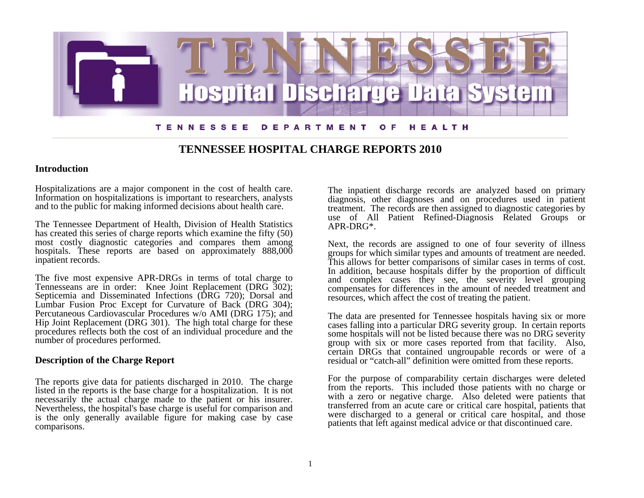

## **TENNESSEE HOSPITAL CHARGE REPORTS 2010**

## **Introduction**

Hospitalizations are a major component in the cost of health care. Information on hospitalizations is important to researchers, analysts and to the public for making informed decisions about health care.

The Tennessee Department of Health, Division of Health Statistics has created this series of charge reports which examine the fifty (50) most costly diagnostic categories and compares them among hospitals. These reports are based on approximately 888,000 inpatient records.

The five most expensive APR-DRGs in terms of total charge to Tennesseans are in order: Knee Joint Replacement (DRG 302); Septicemia and Disseminated Infections (DRG 720); Dorsal and Lumbar Fusion Proc Except for Curvature of Back (DRG 304); Percutaneous Cardiovascular Procedures w/o AMI (DRG 175); and Hip Joint Replacement (DRG 301). The high total charge for these procedures reflects both the cost of an individual procedure and the number of procedures performed.

## **Description of the Charge Report**

The reports give data for patients discharged in 2010. The charge listed in the reports is the base charge for a hospitalization. It is not necessarily the actual charge made to the patient or his insurer. Nevertheless, the hospital's base charge is useful for comparison and is the only generally available figure for making case by case comparisons.

The inpatient discharge records are analyzed based on primary diagnosis, other diagnoses and on procedures used in patient treatment. The records are then assigned to diagnostic categories by use of All Patient Refined-Diagnosis Related Groups or APR-DRG\*.

Next, the records are assigned to one of four severity of illness groups for which similar types and amounts of treatment are needed. This allows for better comparisons of similar cases in terms of cost. In addition, because hospitals differ by the proportion of difficult and complex cases they see, the severity level grouping compensates for differences in the amount of needed treatment and resources, which affect the cost of treating the patient.

The data are presented for Tennessee hospitals having six or more cases falling into a particular DRG severity group. In certain reports some hospitals will not be listed because there was no DRG severity group with six or more cases reported from that facility. Also, certain DRGs that contained ungroupable records or were of a residual or "catch-all" definition were omitted from these reports.

For the purpose of comparability certain discharges were deleted from the reports. This included those patients with no charge or with a zero or negative charge. Also deleted were patients that transferred from an acute care or critical care hospital, patients that were discharged to a general or critical care hospital, and those patients that left against medical advice or that discontinued care.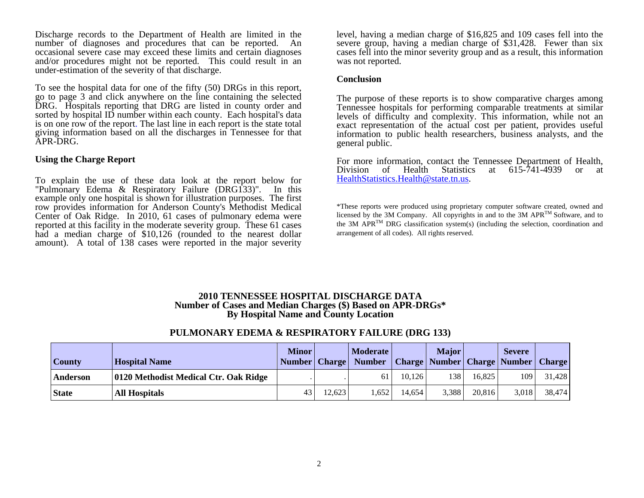Discharge records to the Department of Health are limited in the number of diagnoses and procedures that can be reported. An occasional severe case may exceed these limits and certain diagnoses and/or procedures might not be reported. This could result in an under-estimation of the severity of that discharge.

To see the hospital data for one of the fifty (50) DRGs in this report, go to page 3 and click anywhere on the line containing the selected DRG. Hospitals reporting that DRG are listed in county order and sorted by hospital ID number within each county. Each hospital's data is on one row of the report. The last line in each report is the state total giving information based on all the discharges in Tennessee for that APR-DRG.

### **Using the Charge Report**

To explain the use of these data look at the report below for "Pulmonary Edema & Respiratory Failure (DRG133)". In this example only one hospital is shown for illustration purposes. The first row provides information for Anderson County's Methodist Medical Center of Oak Ridge. In 2010, 61 cases of pulmonary edema were reported at this facility in the moderate severity group. These 61 cases had a median charge of \$10,126 (rounded to the nearest dollar amount). A total of 138 cases were reported in the major severity

level, having a median charge of \$16,825 and 109 cases fell into the severe group, having a median charge of \$31,428. Fewer than six cases fell into the minor severity group and as a result, this information was not reported.

#### **Conclusion**

The purpose of these reports is to show comparative charges among Tennessee hospitals for performing comparable treatments at similar levels of difficulty and complexity. This information, while not an exact representation of the actual cost per patient, provides useful information to public health researchers, business analysts, and the general public.

For more information, contact the Tennessee Department of Health, Division of Health Statistics at 615-741-4939 or at HealthStatistics.Health@state.tn.us[.](mailto:HealthStatistics.Health@state.tn.us) 

\*These reports were produced using proprietary computer software created, owned and licensed by the 3M Company. All copyrights in and to the 3M APRTM Software, and to the 3M APR<sup>TM</sup> DRG classification system(s) (including the selection, coordination and arrangement of all codes). All rights reserved.

### **2010 TENNESSEE HOSPITAL DISCHARGE DATA Number of Cases and Median Charges (\$) Based on APR-DRGs\* By Hospital Name and County Location**

## **PULMONARY EDEMA & RESPIRATORY FAILURE (DRG 133)**

| County       | <b>Hospital Name</b>                  | <b>Minor</b><br>Number   Charge |        | <b>Moderate</b><br>Number   Charge   Number   Charge   Number   Charge |        | <b>Major</b> |        | <b>Severe</b> |        |
|--------------|---------------------------------------|---------------------------------|--------|------------------------------------------------------------------------|--------|--------------|--------|---------------|--------|
| Anderson     | 0120 Methodist Medical Ctr. Oak Ridge |                                 |        | 61                                                                     | 10.126 | 38           | 16.825 | 109           | 31,428 |
| <b>State</b> | <b>All Hospitals</b>                  | 43                              | 12.623 | .652                                                                   | 14.654 | 3,388        | 20,816 | 3,018         | 38,474 |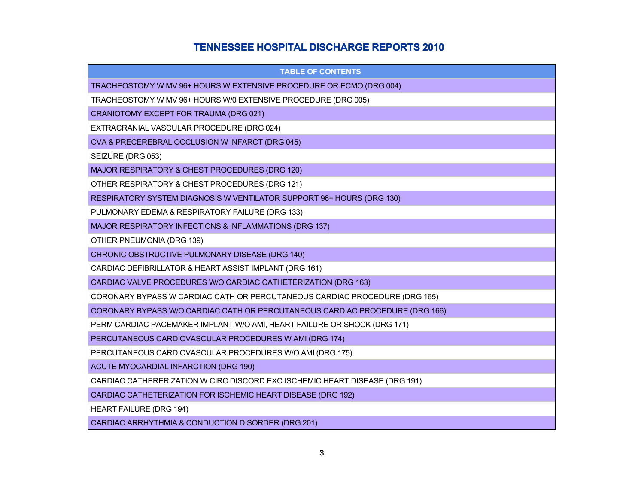# **TENNESSEE HOSPITAL DISCHARGE REPORTS 2010**

| <b>TABLE OF CONTENTS</b>                                                     |
|------------------------------------------------------------------------------|
| TRACHEOSTOMY W MV 96+ HOURS W EXTENSIVE PROCEDURE OR ECMO (DRG 004)          |
| TRACHEOSTOMY W MV 96+ HOURS W/0 EXTENSIVE PROCEDURE (DRG 005)                |
| CRANIOTOMY EXCEPT FOR TRAUMA (DRG 021)                                       |
| EXTRACRANIAL VASCULAR PROCEDURE (DRG 024)                                    |
| CVA & PRECEREBRAL OCCLUSION W INFARCT (DRG 045)                              |
| SEIZURE (DRG 053)                                                            |
| MAJOR RESPIRATORY & CHEST PROCEDURES (DRG 120)                               |
| OTHER RESPIRATORY & CHEST PROCEDURES (DRG 121)                               |
| RESPIRATORY SYSTEM DIAGNOSIS W VENTILATOR SUPPORT 96+ HOURS (DRG 130)        |
| PULMONARY EDEMA & RESPIRATORY FAILURE (DRG 133)                              |
| MAJOR RESPIRATORY INFECTIONS & INFLAMMATIONS (DRG 137)                       |
| OTHER PNEUMONIA (DRG 139)                                                    |
| CHRONIC OBSTRUCTIVE PULMONARY DISEASE (DRG 140)                              |
| CARDIAC DEFIBRILLATOR & HEART ASSIST IMPLANT (DRG 161)                       |
| CARDIAC VALVE PROCEDURES W/O CARDIAC CATHETERIZATION (DRG 163)               |
| CORONARY BYPASS W CARDIAC CATH OR PERCUTANEOUS CARDIAC PROCEDURE (DRG 165)   |
| CORONARY BYPASS W/O CARDIAC CATH OR PERCUTANEOUS CARDIAC PROCEDURE (DRG 166) |
| PERM CARDIAC PACEMAKER IMPLANT W/O AMI, HEART FAILURE OR SHOCK (DRG 171)     |
| PERCUTANEOUS CARDIOVASCULAR PROCEDURES W AMI (DRG 174)                       |
| PERCUTANEOUS CARDIOVASCULAR PROCEDURES W/O AMI (DRG 175)                     |
| <b>ACUTE MYOCARDIAL INFARCTION (DRG 190)</b>                                 |
| CARDIAC CATHERERIZATION W CIRC DISCORD EXC ISCHEMIC HEART DISEASE (DRG 191)  |
| CARDIAC CATHETERIZATION FOR ISCHEMIC HEART DISEASE (DRG 192)                 |
| <b>HEART FAILURE (DRG 194)</b>                                               |
| CARDIAC ARRHYTHMIA & CONDUCTION DISORDER (DRG 201)                           |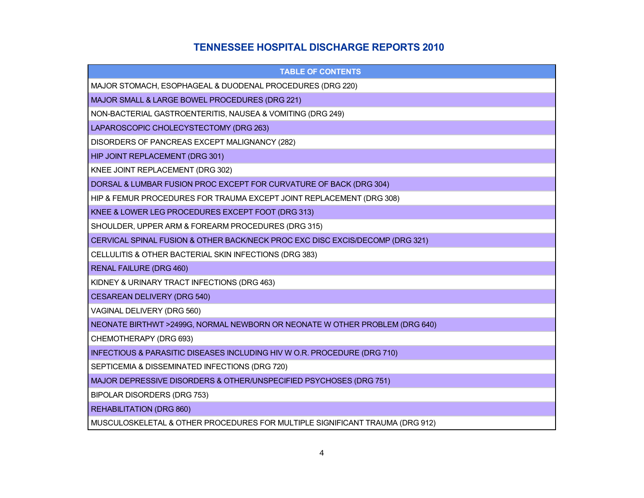## **TENNESSEE HOSPITAL DISCHARGE REPORTS 2010**

| <b>TABLE OF CONTENTS</b>                                                      |
|-------------------------------------------------------------------------------|
| MAJOR STOMACH, ESOPHAGEAL & DUODENAL PROCEDURES (DRG 220)                     |
| MAJOR SMALL & LARGE BOWEL PROCEDURES (DRG 221)                                |
| NON-BACTERIAL GASTROENTERITIS, NAUSEA & VOMITING (DRG 249)                    |
| LAPAROSCOPIC CHOLECYSTECTOMY (DRG 263)                                        |
| DISORDERS OF PANCREAS EXCEPT MALIGNANCY (282)                                 |
| HIP JOINT REPLACEMENT (DRG 301)                                               |
| KNEE JOINT REPLACEMENT (DRG 302)                                              |
| DORSAL & LUMBAR FUSION PROC EXCEPT FOR CURVATURE OF BACK (DRG 304)            |
| HIP & FEMUR PROCEDURES FOR TRAUMA EXCEPT JOINT REPLACEMENT (DRG 308)          |
| KNEE & LOWER LEG PROCEDURES EXCEPT FOOT (DRG 313)                             |
| SHOULDER, UPPER ARM & FOREARM PROCEDURES (DRG 315)                            |
| CERVICAL SPINAL FUSION & OTHER BACK/NECK PROC EXC DISC EXCIS/DECOMP (DRG 321) |
| CELLULITIS & OTHER BACTERIAL SKIN INFECTIONS (DRG 383)                        |
| <b>RENAL FAILURE (DRG 460)</b>                                                |
| KIDNEY & URINARY TRACT INFECTIONS (DRG 463)                                   |
| <b>CESAREAN DELIVERY (DRG 540)</b>                                            |
| VAGINAL DELIVERY (DRG 560)                                                    |
| NEONATE BIRTHWT >2499G, NORMAL NEWBORN OR NEONATE W OTHER PROBLEM (DRG 640)   |
| CHEMOTHERAPY (DRG 693)                                                        |
| INFECTIOUS & PARASITIC DISEASES INCLUDING HIV W O.R. PROCEDURE (DRG 710)      |
| SEPTICEMIA & DISSEMINATED INFECTIONS (DRG 720)                                |
| MAJOR DEPRESSIVE DISORDERS & OTHER/UNSPECIFIED PSYCHOSES (DRG 751)            |
| BIPOLAR DISORDERS (DRG 753)                                                   |
| <b>REHABILITATION (DRG 860)</b>                                               |
| MUSCULOSKELETAL & OTHER PROCEDURES FOR MULTIPLE SIGNIFICANT TRAUMA (DRG 912)  |